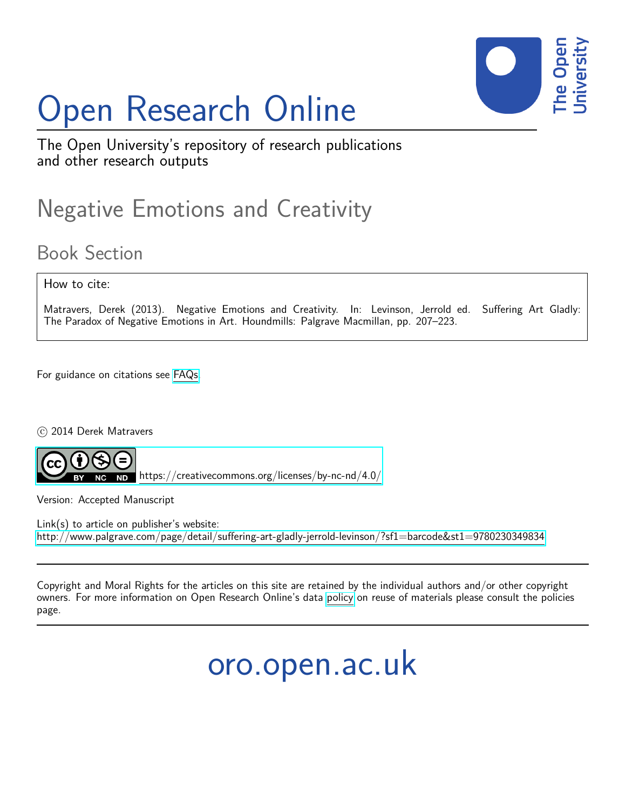# Open Research Online



The Open University's repository of research publications and other research outputs

## Negative Emotions and Creativity

### Book Section

#### How to cite:

Matravers, Derek (2013). Negative Emotions and Creativity. In: Levinson, Jerrold ed. Suffering Art Gladly: The Paradox of Negative Emotions in Art. Houndmills: Palgrave Macmillan, pp. 207–223.

For guidance on citations see [FAQs.](http://oro.open.ac.uk/help/helpfaq.html)

c 2014 Derek Matravers



Version: Accepted Manuscript

Link(s) to article on publisher's website: <http://www.palgrave.com/page/detail/suffering-art-gladly-jerrold-levinson/?sf1=barcode&st1=9780230349834>

Copyright and Moral Rights for the articles on this site are retained by the individual authors and/or other copyright owners. For more information on Open Research Online's data [policy](http://oro.open.ac.uk/policies.html) on reuse of materials please consult the policies page.

oro.open.ac.uk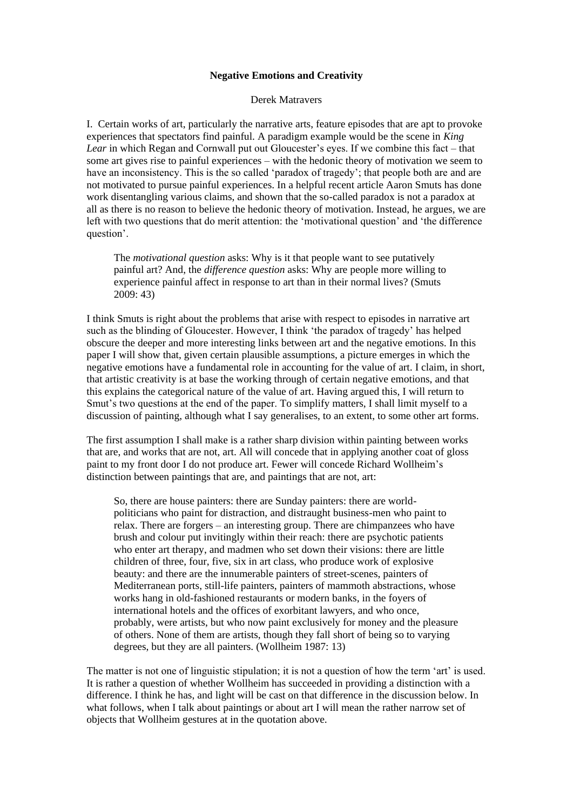#### **Negative Emotions and Creativity**

#### Derek Matravers

I. Certain works of art, particularly the narrative arts, feature episodes that are apt to provoke experiences that spectators find painful. A paradigm example would be the scene in *King Lear* in which Regan and Cornwall put out Gloucester's eyes. If we combine this fact – that some art gives rise to painful experiences – with the hedonic theory of motivation we seem to have an inconsistency. This is the so called 'paradox of tragedy'; that people both are and are not motivated to pursue painful experiences. In a helpful recent article Aaron Smuts has done work disentangling various claims, and shown that the so-called paradox is not a paradox at all as there is no reason to believe the hedonic theory of motivation. Instead, he argues, we are left with two questions that do merit attention: the 'motivational question' and 'the difference question'.

The *motivational question* asks: Why is it that people want to see putatively painful art? And, the *difference question* asks: Why are people more willing to experience painful affect in response to art than in their normal lives? (Smuts  $2009:43$ 

I think Smuts is right about the problems that arise with respect to episodes in narrative art such as the blinding of Gloucester. However, I think 'the paradox of tragedy' has helped obscure the deeper and more interesting links between art and the negative emotions. In this paper I will show that, given certain plausible assumptions, a picture emerges in which the negative emotions have a fundamental role in accounting for the value of art. I claim, in short, that artistic creativity is at base the working through of certain negative emotions, and that this explains the categorical nature of the value of art. Having argued this, I will return to Smut's two questions at the end of the paper. To simplify matters, I shall limit myself to a discussion of painting, although what I say generalises, to an extent, to some other art forms.

The first assumption I shall make is a rather sharp division within painting between works that are, and works that are not, art. All will concede that in applying another coat of gloss paint to my front door I do not produce art. Fewer will concede Richard Wollheim's distinction between paintings that are, and paintings that are not, art:

So, there are house painters: there are Sunday painters: there are worldpoliticians who paint for distraction, and distraught business-men who paint to relax. There are forgers – an interesting group. There are chimpanzees who have brush and colour put invitingly within their reach: there are psychotic patients who enter art therapy, and madmen who set down their visions: there are little children of three, four, five, six in art class, who produce work of explosive beauty: and there are the innumerable painters of street-scenes, painters of Mediterranean ports, still-life painters, painters of mammoth abstractions, whose works hang in old-fashioned restaurants or modern banks, in the foyers of international hotels and the offices of exorbitant lawyers, and who once, probably, were artists, but who now paint exclusively for money and the pleasure of others. None of them are artists, though they fall short of being so to varying degrees, but they are all painters. (Wollheim 1987: 13)

The matter is not one of linguistic stipulation; it is not a question of how the term 'art' is used. It is rather a question of whether Wollheim has succeeded in providing a distinction with a difference. I think he has, and light will be cast on that difference in the discussion below. In what follows, when I talk about paintings or about art I will mean the rather narrow set of objects that Wollheim gestures at in the quotation above.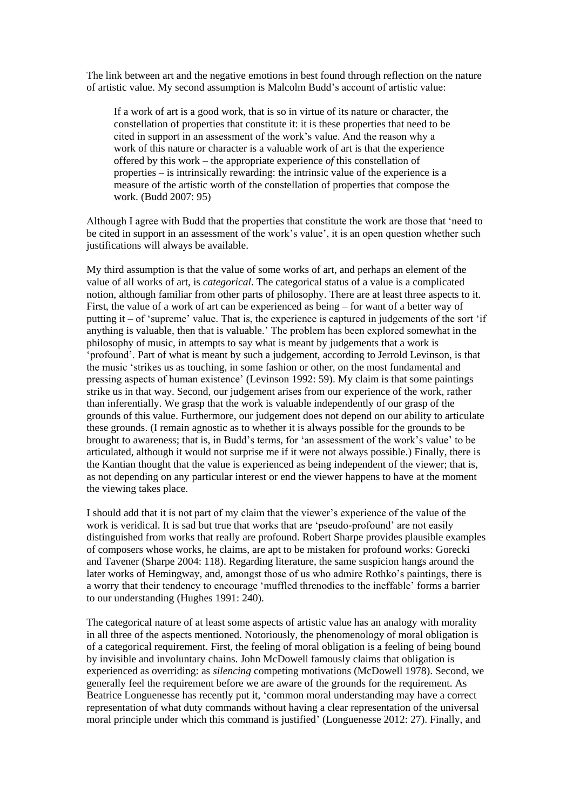The link between art and the negative emotions in best found through reflection on the nature of artistic value. My second assumption is Malcolm Budd's account of artistic value:

If a work of art is a good work, that is so in virtue of its nature or character, the constellation of properties that constitute it: it is these properties that need to be cited in support in an assessment of the work's value. And the reason why a work of this nature or character is a valuable work of art is that the experience offered by this work – the appropriate experience *of* this constellation of properties – is intrinsically rewarding: the intrinsic value of the experience is a measure of the artistic worth of the constellation of properties that compose the work. (Budd 2007: 95)

Although I agree with Budd that the properties that constitute the work are those that 'need to be cited in support in an assessment of the work's value', it is an open question whether such justifications will always be available.

My third assumption is that the value of some works of art, and perhaps an element of the value of all works of art, is *categorical*. The categorical status of a value is a complicated notion, although familiar from other parts of philosophy. There are at least three aspects to it. First, the value of a work of art can be experienced as being – for want of a better way of putting it – of 'supreme' value. That is, the experience is captured in judgements of the sort 'if anything is valuable, then that is valuable.' The problem has been explored somewhat in the philosophy of music, in attempts to say what is meant by judgements that a work is 'profound'. Part of what is meant by such a judgement, according to Jerrold Levinson, is that the music 'strikes us as touching, in some fashion or other, on the most fundamental and pressing aspects of human existence' (Levinson 1992: 59). My claim is that some paintings strike us in that way. Second, our judgement arises from our experience of the work, rather than inferentially. We grasp that the work is valuable independently of our grasp of the grounds of this value. Furthermore, our judgement does not depend on our ability to articulate these grounds. (I remain agnostic as to whether it is always possible for the grounds to be brought to awareness; that is, in Budd's terms, for 'an assessment of the work's value' to be articulated, although it would not surprise me if it were not always possible.) Finally, there is the Kantian thought that the value is experienced as being independent of the viewer; that is, as not depending on any particular interest or end the viewer happens to have at the moment the viewing takes place.

I should add that it is not part of my claim that the viewer's experience of the value of the work is veridical. It is sad but true that works that are 'pseudo-profound' are not easily distinguished from works that really are profound. Robert Sharpe provides plausible examples of composers whose works, he claims, are apt to be mistaken for profound works: Gorecki and Tavener (Sharpe 2004: 118). Regarding literature, the same suspicion hangs around the later works of Hemingway, and, amongst those of us who admire Rothko's paintings, there is a worry that their tendency to encourage 'muffled threnodies to the ineffable' forms a barrier to our understanding (Hughes 1991: 240).

The categorical nature of at least some aspects of artistic value has an analogy with morality in all three of the aspects mentioned. Notoriously, the phenomenology of moral obligation is of a categorical requirement. First, the feeling of moral obligation is a feeling of being bound by invisible and involuntary chains. John McDowell famously claims that obligation is experienced as overriding: as *silencing* competing motivations (McDowell 1978). Second, we generally feel the requirement before we are aware of the grounds for the requirement. As Beatrice Longuenesse has recently put it, 'common moral understanding may have a correct representation of what duty commands without having a clear representation of the universal moral principle under which this command is justified' (Longuenesse 2012: 27). Finally, and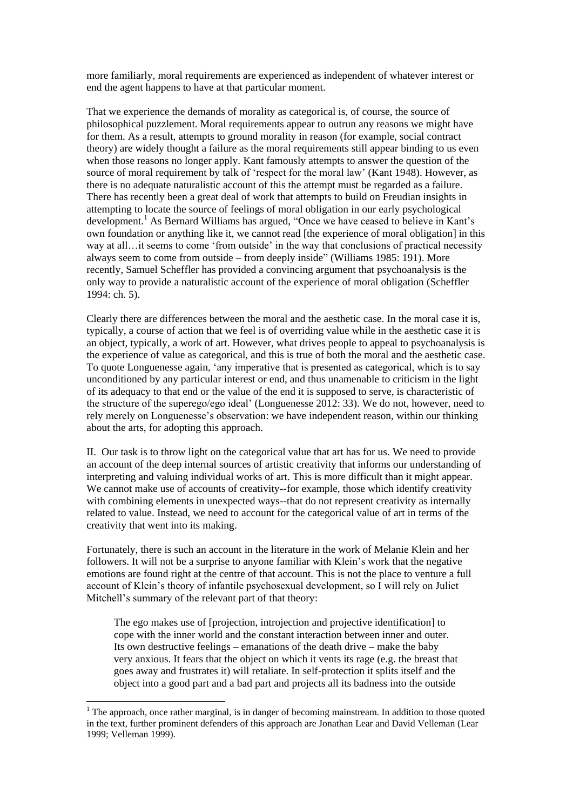more familiarly, moral requirements are experienced as independent of whatever interest or end the agent happens to have at that particular moment.

That we experience the demands of morality as categorical is, of course, the source of philosophical puzzlement. Moral requirements appear to outrun any reasons we might have for them. As a result, attempts to ground morality in reason (for example, social contract theory) are widely thought a failure as the moral requirements still appear binding to us even when those reasons no longer apply. Kant famously attempts to answer the question of the source of moral requirement by talk of 'respect for the moral law' (Kant 1948). However, as there is no adequate naturalistic account of this the attempt must be regarded as a failure. There has recently been a great deal of work that attempts to build on Freudian insights in attempting to locate the source of feelings of moral obligation in our early psychological development.<sup>1</sup> As Bernard Williams has argued, "Once we have ceased to believe in Kant's own foundation or anything like it, we cannot read [the experience of moral obligation] in this way at all…it seems to come 'from outside' in the way that conclusions of practical necessity always seem to come from outside – from deeply inside" (Williams 1985: 191). More recently, Samuel Scheffler has provided a convincing argument that psychoanalysis is the only way to provide a naturalistic account of the experience of moral obligation (Scheffler 1994: ch. 5).

Clearly there are differences between the moral and the aesthetic case. In the moral case it is, typically, a course of action that we feel is of overriding value while in the aesthetic case it is an object, typically, a work of art. However, what drives people to appeal to psychoanalysis is the experience of value as categorical, and this is true of both the moral and the aesthetic case. To quote Longuenesse again, 'any imperative that is presented as categorical, which is to say unconditioned by any particular interest or end, and thus unamenable to criticism in the light of its adequacy to that end or the value of the end it is supposed to serve, is characteristic of the structure of the superego/ego ideal' (Longuenesse 2012: 33). We do not, however, need to rely merely on Longuenesse's observation: we have independent reason, within our thinking about the arts, for adopting this approach.

II. Our task is to throw light on the categorical value that art has for us. We need to provide an account of the deep internal sources of artistic creativity that informs our understanding of interpreting and valuing individual works of art. This is more difficult than it might appear. We cannot make use of accounts of creativity--for example, those which identify creativity with combining elements in unexpected ways--that do not represent creativity as internally related to value. Instead, we need to account for the categorical value of art in terms of the creativity that went into its making.

Fortunately, there is such an account in the literature in the work of Melanie Klein and her followers. It will not be a surprise to anyone familiar with Klein's work that the negative emotions are found right at the centre of that account. This is not the place to venture a full account of Klein's theory of infantile psychosexual development, so I will rely on Juliet Mitchell's summary of the relevant part of that theory:

The ego makes use of [projection, introjection and projective identification] to cope with the inner world and the constant interaction between inner and outer. Its own destructive feelings – emanations of the death drive – make the baby very anxious. It fears that the object on which it vents its rage (e.g. the breast that goes away and frustrates it) will retaliate. In self-protection it splits itself and the object into a good part and a bad part and projects all its badness into the outside

1

 $1$ . The approach, once rather marginal, is in danger of becoming mainstream. In addition to those quoted in the text, further prominent defenders of this approach are Jonathan Lear and David Velleman (Lear 1999; Velleman 1999).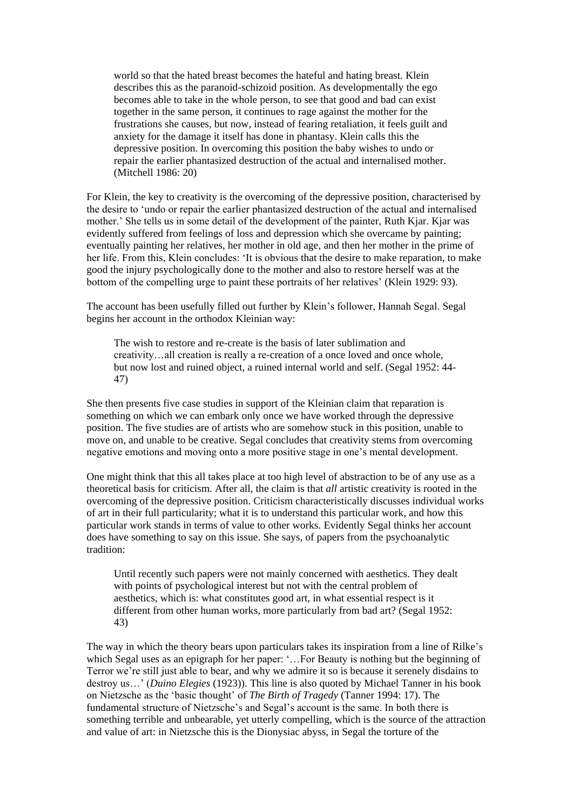world so that the hated breast becomes the hateful and hating breast. Klein describes this as the paranoid-schizoid position. As developmentally the ego becomes able to take in the whole person, to see that good and bad can exist together in the same person, it continues to rage against the mother for the frustrations she causes, but now, instead of fearing retaliation, it feels guilt and anxiety for the damage it itself has done in phantasy. Klein calls this the depressive position. In overcoming this position the baby wishes to undo or repair the earlier phantasized destruction of the actual and internalised mother. (Mitchell 1986: 20)

For Klein, the key to creativity is the overcoming of the depressive position, characterised by the desire to 'undo or repair the earlier phantasized destruction of the actual and internalised mother.' She tells us in some detail of the development of the painter, Ruth Kjar. Kjar was evidently suffered from feelings of loss and depression which she overcame by painting; eventually painting her relatives, her mother in old age, and then her mother in the prime of her life. From this, Klein concludes: 'It is obvious that the desire to make reparation, to make good the injury psychologically done to the mother and also to restore herself was at the bottom of the compelling urge to paint these portraits of her relatives' (Klein 1929: 93).

The account has been usefully filled out further by Klein's follower, Hannah Segal. Segal begins her account in the orthodox Kleinian way:

The wish to restore and re-create is the basis of later sublimation and creativity…all creation is really a re-creation of a once loved and once whole, but now lost and ruined object, a ruined internal world and self. (Segal 1952: 44- 47)

She then presents five case studies in support of the Kleinian claim that reparation is something on which we can embark only once we have worked through the depressive position. The five studies are of artists who are somehow stuck in this position, unable to move on, and unable to be creative. Segal concludes that creativity stems from overcoming negative emotions and moving onto a more positive stage in one's mental development.

One might think that this all takes place at too high level of abstraction to be of any use as a theoretical basis for criticism. After all, the claim is that *all* artistic creativity is rooted in the overcoming of the depressive position. Criticism characteristically discusses individual works of art in their full particularity; what it is to understand this particular work, and how this particular work stands in terms of value to other works. Evidently Segal thinks her account does have something to say on this issue. She says, of papers from the psychoanalytic tradition:

Until recently such papers were not mainly concerned with aesthetics. They dealt with points of psychological interest but not with the central problem of aesthetics, which is: what constitutes good art, in what essential respect is it different from other human works, more particularly from bad art? (Segal 1952: 43)

The way in which the theory bears upon particulars takes its inspiration from a line of Rilke's which Segal uses as an epigraph for her paper: '…For Beauty is nothing but the beginning of Terror we're still just able to bear, and why we admire it so is because it serenely disdains to destroy us…' (*Duino Elegies* (1923)). This line is also quoted by Michael Tanner in his book on Nietzsche as the 'basic thought' of *The Birth of Tragedy* (Tanner 1994: 17). The fundamental structure of Nietzsche's and Segal's account is the same. In both there is something terrible and unbearable, yet utterly compelling, which is the source of the attraction and value of art: in Nietzsche this is the Dionysiac abyss, in Segal the torture of the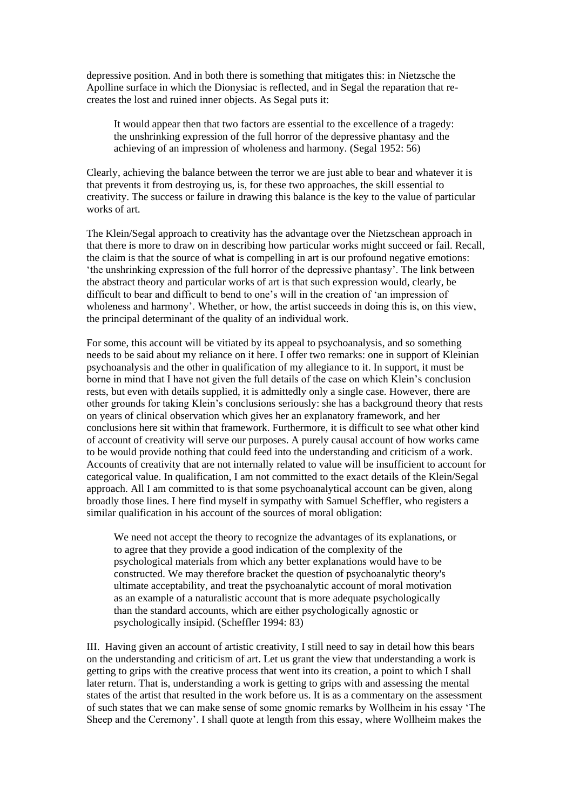depressive position. And in both there is something that mitigates this: in Nietzsche the Apolline surface in which the Dionysiac is reflected, and in Segal the reparation that recreates the lost and ruined inner objects. As Segal puts it:

It would appear then that two factors are essential to the excellence of a tragedy: the unshrinking expression of the full horror of the depressive phantasy and the achieving of an impression of wholeness and harmony. (Segal 1952: 56)

Clearly, achieving the balance between the terror we are just able to bear and whatever it is that prevents it from destroying us, is, for these two approaches, the skill essential to creativity. The success or failure in drawing this balance is the key to the value of particular works of art.

The Klein/Segal approach to creativity has the advantage over the Nietzschean approach in that there is more to draw on in describing how particular works might succeed or fail. Recall, the claim is that the source of what is compelling in art is our profound negative emotions: 'the unshrinking expression of the full horror of the depressive phantasy'. The link between the abstract theory and particular works of art is that such expression would, clearly, be difficult to bear and difficult to bend to one's will in the creation of 'an impression of wholeness and harmony'. Whether, or how, the artist succeeds in doing this is, on this view, the principal determinant of the quality of an individual work.

For some, this account will be vitiated by its appeal to psychoanalysis, and so something needs to be said about my reliance on it here. I offer two remarks: one in support of Kleinian psychoanalysis and the other in qualification of my allegiance to it. In support, it must be borne in mind that I have not given the full details of the case on which Klein's conclusion rests, but even with details supplied, it is admittedly only a single case. However, there are other grounds for taking Klein's conclusions seriously: she has a background theory that rests on years of clinical observation which gives her an explanatory framework, and her conclusions here sit within that framework. Furthermore, it is difficult to see what other kind of account of creativity will serve our purposes. A purely causal account of how works came to be would provide nothing that could feed into the understanding and criticism of a work. Accounts of creativity that are not internally related to value will be insufficient to account for categorical value. In qualification, I am not committed to the exact details of the Klein/Segal approach. All I am committed to is that some psychoanalytical account can be given, along broadly those lines. I here find myself in sympathy with Samuel Scheffler, who registers a similar qualification in his account of the sources of moral obligation:

We need not accept the theory to recognize the advantages of its explanations, or to agree that they provide a good indication of the complexity of the psychological materials from which any better explanations would have to be constructed. We may therefore bracket the question of psychoanalytic theory's ultimate acceptability, and treat the psychoanalytic account of moral motivation as an example of a naturalistic account that is more adequate psychologically than the standard accounts, which are either psychologically agnostic or psychologically insipid. (Scheffler 1994: 83)

III. Having given an account of artistic creativity, I still need to say in detail how this bears on the understanding and criticism of art. Let us grant the view that understanding a work is getting to grips with the creative process that went into its creation, a point to which I shall later return. That is, understanding a work is getting to grips with and assessing the mental states of the artist that resulted in the work before us. It is as a commentary on the assessment of such states that we can make sense of some gnomic remarks by Wollheim in his essay 'The Sheep and the Ceremony'. I shall quote at length from this essay, where Wollheim makes the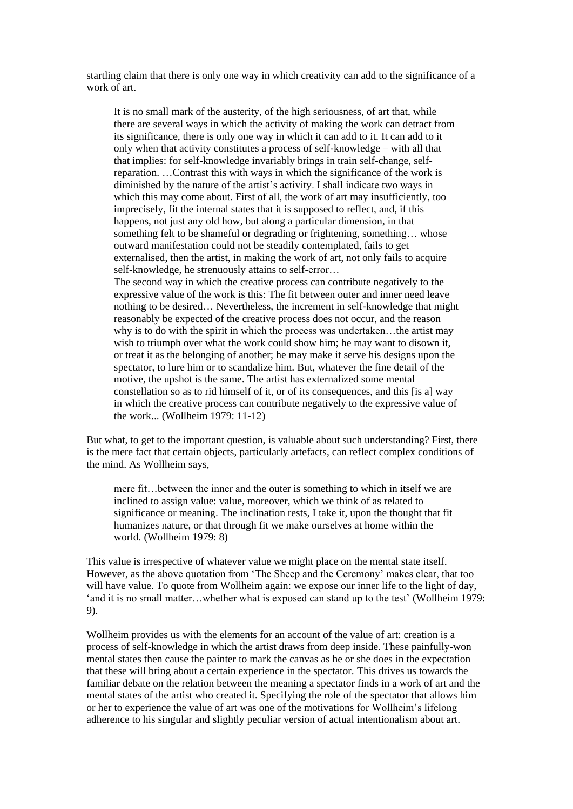startling claim that there is only one way in which creativity can add to the significance of a work of art.

It is no small mark of the austerity, of the high seriousness, of art that, while there are several ways in which the activity of making the work can detract from its significance, there is only one way in which it can add to it. It can add to it only when that activity constitutes a process of self-knowledge – with all that that implies: for self-knowledge invariably brings in train self-change, selfreparation. …Contrast this with ways in which the significance of the work is diminished by the nature of the artist's activity. I shall indicate two ways in which this may come about. First of all, the work of art may insufficiently, too imprecisely, fit the internal states that it is supposed to reflect, and, if this happens, not just any old how, but along a particular dimension, in that something felt to be shameful or degrading or frightening, something… whose outward manifestation could not be steadily contemplated, fails to get externalised, then the artist, in making the work of art, not only fails to acquire self-knowledge, he strenuously attains to self-error… The second way in which the creative process can contribute negatively to the expressive value of the work is this: The fit between outer and inner need leave nothing to be desired… Nevertheless, the increment in self-knowledge that might reasonably be expected of the creative process does not occur, and the reason why is to do with the spirit in which the process was undertaken...the artist may wish to triumph over what the work could show him; he may want to disown it, or treat it as the belonging of another; he may make it serve his designs upon the spectator, to lure him or to scandalize him. But, whatever the fine detail of the motive, the upshot is the same. The artist has externalized some mental constellation so as to rid himself of it, or of its consequences, and this [is a] way in which the creative process can contribute negatively to the expressive value of the work... (Wollheim 1979: 11-12)

But what, to get to the important question, is valuable about such understanding? First, there is the mere fact that certain objects, particularly artefacts, can reflect complex conditions of the mind. As Wollheim says,

mere fit…between the inner and the outer is something to which in itself we are inclined to assign value: value, moreover, which we think of as related to significance or meaning. The inclination rests, I take it, upon the thought that fit humanizes nature, or that through fit we make ourselves at home within the world. (Wollheim 1979: 8)

This value is irrespective of whatever value we might place on the mental state itself. However, as the above quotation from 'The Sheep and the Ceremony' makes clear, that too will have value. To quote from Wollheim again: we expose our inner life to the light of day, 'and it is no small matter…whether what is exposed can stand up to the test' (Wollheim 1979: 9).

Wollheim provides us with the elements for an account of the value of art: creation is a process of self-knowledge in which the artist draws from deep inside. These painfully-won mental states then cause the painter to mark the canvas as he or she does in the expectation that these will bring about a certain experience in the spectator. This drives us towards the familiar debate on the relation between the meaning a spectator finds in a work of art and the mental states of the artist who created it. Specifying the role of the spectator that allows him or her to experience the value of art was one of the motivations for Wollheim's lifelong adherence to his singular and slightly peculiar version of actual intentionalism about art.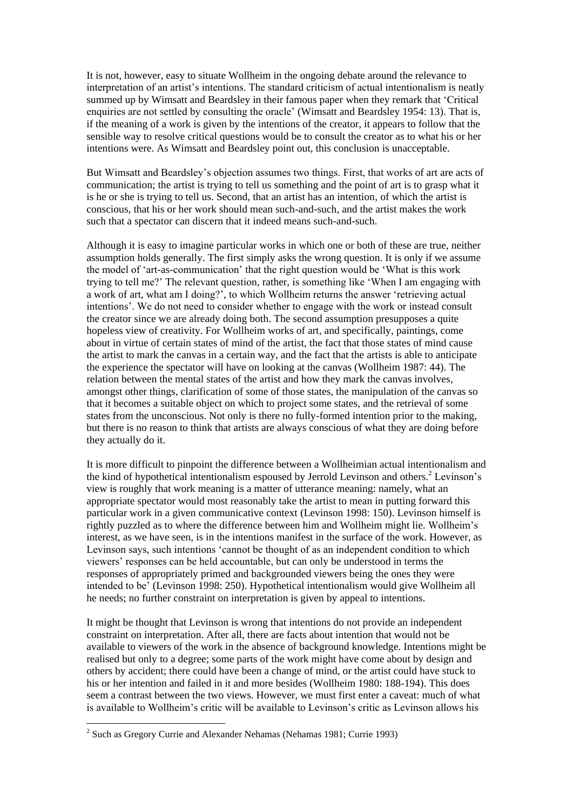It is not, however, easy to situate Wollheim in the ongoing debate around the relevance to interpretation of an artist's intentions. The standard criticism of actual intentionalism is neatly summed up by Wimsatt and Beardsley in their famous paper when they remark that 'Critical enquiries are not settled by consulting the oracle' (Wimsatt and Beardsley 1954: 13). That is, if the meaning of a work is given by the intentions of the creator, it appears to follow that the sensible way to resolve critical questions would be to consult the creator as to what his or her intentions were. As Wimsatt and Beardsley point out, this conclusion is unacceptable.

But Wimsatt and Beardsley's objection assumes two things. First, that works of art are acts of communication; the artist is trying to tell us something and the point of art is to grasp what it is he or she is trying to tell us. Second, that an artist has an intention, of which the artist is conscious, that his or her work should mean such-and-such, and the artist makes the work such that a spectator can discern that it indeed means such-and-such.

Although it is easy to imagine particular works in which one or both of these are true, neither assumption holds generally. The first simply asks the wrong question. It is only if we assume the model of 'art-as-communication' that the right question would be 'What is this work trying to tell me?' The relevant question, rather, is something like 'When I am engaging with a work of art, what am I doing?', to which Wollheim returns the answer 'retrieving actual intentions'. We do not need to consider whether to engage with the work or instead consult the creator since we are already doing both. The second assumption presupposes a quite hopeless view of creativity. For Wollheim works of art, and specifically, paintings, come about in virtue of certain states of mind of the artist, the fact that those states of mind cause the artist to mark the canvas in a certain way, and the fact that the artists is able to anticipate the experience the spectator will have on looking at the canvas (Wollheim 1987: 44). The relation between the mental states of the artist and how they mark the canvas involves, amongst other things, clarification of some of those states, the manipulation of the canvas so that it becomes a suitable object on which to project some states, and the retrieval of some states from the unconscious. Not only is there no fully-formed intention prior to the making, but there is no reason to think that artists are always conscious of what they are doing before they actually do it.

It is more difficult to pinpoint the difference between a Wollheimian actual intentionalism and the kind of hypothetical intentionalism espoused by Jerrold Levinson and others. <sup>2</sup> Levinson's view is roughly that work meaning is a matter of utterance meaning: namely, what an appropriate spectator would most reasonably take the artist to mean in putting forward this particular work in a given communicative context (Levinson 1998: 150). Levinson himself is rightly puzzled as to where the difference between him and Wollheim might lie. Wollheim's interest, as we have seen, is in the intentions manifest in the surface of the work. However, as Levinson says, such intentions 'cannot be thought of as an independent condition to which viewers' responses can be held accountable, but can only be understood in terms the responses of appropriately primed and backgrounded viewers being the ones they were intended to be' (Levinson 1998: 250). Hypothetical intentionalism would give Wollheim all he needs; no further constraint on interpretation is given by appeal to intentions.

It might be thought that Levinson is wrong that intentions do not provide an independent constraint on interpretation. After all, there are facts about intention that would not be available to viewers of the work in the absence of background knowledge. Intentions might be realised but only to a degree; some parts of the work might have come about by design and others by accident; there could have been a change of mind, or the artist could have stuck to his or her intention and failed in it and more besides (Wollheim 1980: 188-194). This does seem a contrast between the two views. However, we must first enter a caveat: much of what is available to Wollheim's critic will be available to Levinson's critic as Levinson allows his

<u>.</u>

<sup>&</sup>lt;sup>2</sup> Such as Gregory Currie and Alexander Nehamas (Nehamas 1981; Currie 1993)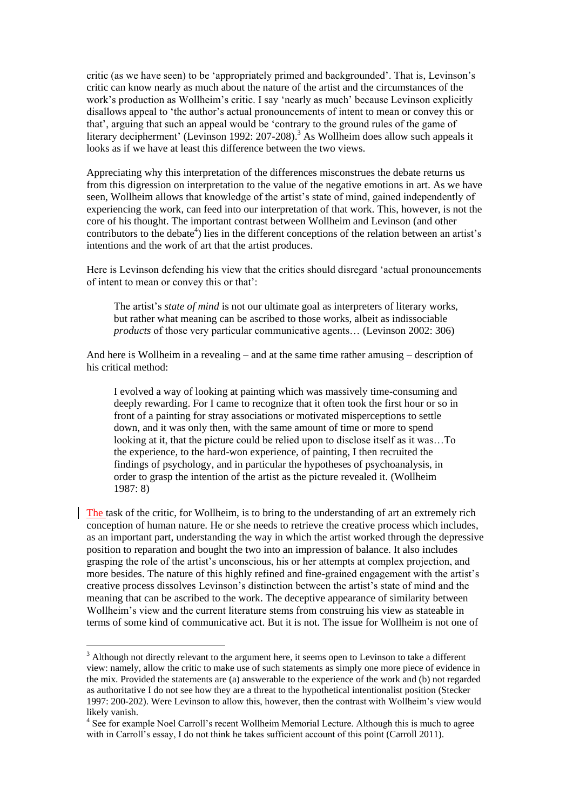critic (as we have seen) to be 'appropriately primed and backgrounded'. That is, Levinson's critic can know nearly as much about the nature of the artist and the circumstances of the work's production as Wollheim's critic. I say 'nearly as much' because Levinson explicitly disallows appeal to 'the author's actual pronouncements of intent to mean or convey this or that', arguing that such an appeal would be 'contrary to the ground rules of the game of literary decipherment' (Levinson 1992: 207-208).<sup>3</sup> As Wollheim does allow such appeals it looks as if we have at least this difference between the two views.

Appreciating why this interpretation of the differences misconstrues the debate returns us from this digression on interpretation to the value of the negative emotions in art. As we have seen, Wollheim allows that knowledge of the artist's state of mind, gained independently of experiencing the work, can feed into our interpretation of that work. This, however, is not the core of his thought. The important contrast between Wollheim and Levinson (and other contributors to the debate<sup>4</sup>) lies in the different conceptions of the relation between an artist's intentions and the work of art that the artist produces.

Here is Levinson defending his view that the critics should disregard 'actual pronouncements of intent to mean or convey this or that':

The artist's *state of mind* is not our ultimate goal as interpreters of literary works, but rather what meaning can be ascribed to those works, albeit as indissociable *products* of those very particular communicative agents… (Levinson 2002: 306)

And here is Wollheim in a revealing – and at the same time rather amusing – description of his critical method:

I evolved a way of looking at painting which was massively time-consuming and deeply rewarding. For I came to recognize that it often took the first hour or so in front of a painting for stray associations or motivated misperceptions to settle down, and it was only then, with the same amount of time or more to spend looking at it, that the picture could be relied upon to disclose itself as it was…To the experience, to the hard-won experience, of painting, I then recruited the findings of psychology, and in particular the hypotheses of psychoanalysis, in order to grasp the intention of the artist as the picture revealed it. (Wollheim 1987: 8)

The task of the critic, for Wollheim, is to bring to the understanding of art an extremely rich conception of human nature. He or she needs to retrieve the creative process which includes, as an important part, understanding the way in which the artist worked through the depressive position to reparation and bought the two into an impression of balance. It also includes grasping the role of the artist's unconscious, his or her attempts at complex projection, and more besides. The nature of this highly refined and fine-grained engagement with the artist's creative process dissolves Levinson's distinction between the artist's state of mind and the meaning that can be ascribed to the work. The deceptive appearance of similarity between Wollheim's view and the current literature stems from construing his view as stateable in terms of some kind of communicative act. But it is not. The issue for Wollheim is not one of

1

 $3$  Although not directly relevant to the argument here, it seems open to Levinson to take a different view: namely, allow the critic to make use of such statements as simply one more piece of evidence in the mix. Provided the statements are (a) answerable to the experience of the work and (b) not regarded as authoritative I do not see how they are a threat to the hypothetical intentionalist position (Stecker 1997: 200-202). Were Levinson to allow this, however, then the contrast with Wollheim's view would likely vanish.

<sup>&</sup>lt;sup>4</sup> See for example Noel Carroll's recent Wollheim Memorial Lecture. Although this is much to agree with in Carroll's essay, I do not think he takes sufficient account of this point (Carroll 2011).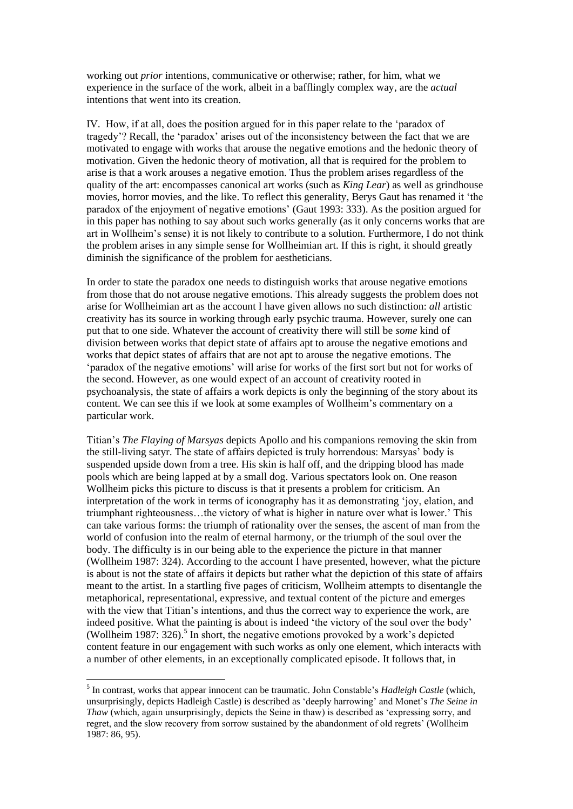working out *prior* intentions, communicative or otherwise; rather, for him, what we experience in the surface of the work, albeit in a bafflingly complex way, are the *actual* intentions that went into its creation.

IV. How, if at all, does the position argued for in this paper relate to the 'paradox of tragedy'? Recall, the 'paradox' arises out of the inconsistency between the fact that we are motivated to engage with works that arouse the negative emotions and the hedonic theory of motivation. Given the hedonic theory of motivation, all that is required for the problem to arise is that a work arouses a negative emotion. Thus the problem arises regardless of the quality of the art: encompasses canonical art works (such as *King Lear*) as well as grindhouse movies, horror movies, and the like. To reflect this generality, Berys Gaut has renamed it 'the paradox of the enjoyment of negative emotions' (Gaut 1993: 333). As the position argued for in this paper has nothing to say about such works generally (as it only concerns works that are art in Wollheim's sense) it is not likely to contribute to a solution. Furthermore, I do not think the problem arises in any simple sense for Wollheimian art. If this is right, it should greatly diminish the significance of the problem for aestheticians.

In order to state the paradox one needs to distinguish works that arouse negative emotions from those that do not arouse negative emotions. This already suggests the problem does not arise for Wollheimian art as the account I have given allows no such distinction: *all* artistic creativity has its source in working through early psychic trauma. However, surely one can put that to one side. Whatever the account of creativity there will still be *some* kind of division between works that depict state of affairs apt to arouse the negative emotions and works that depict states of affairs that are not apt to arouse the negative emotions. The 'paradox of the negative emotions' will arise for works of the first sort but not for works of the second. However, as one would expect of an account of creativity rooted in psychoanalysis, the state of affairs a work depicts is only the beginning of the story about its content. We can see this if we look at some examples of Wollheim's commentary on a particular work.

Titian's *The Flaying of Marsyas* depicts Apollo and his companions removing the skin from the still-living satyr. The state of affairs depicted is truly horrendous: Marsyas' body is suspended upside down from a tree. His skin is half off, and the dripping blood has made pools which are being lapped at by a small dog. Various spectators look on. One reason Wollheim picks this picture to discuss is that it presents a problem for criticism. An interpretation of the work in terms of iconography has it as demonstrating 'joy, elation, and triumphant righteousness…the victory of what is higher in nature over what is lower.' This can take various forms: the triumph of rationality over the senses, the ascent of man from the world of confusion into the realm of eternal harmony, or the triumph of the soul over the body. The difficulty is in our being able to the experience the picture in that manner (Wollheim 1987: 324). According to the account I have presented, however, what the picture is about is not the state of affairs it depicts but rather what the depiction of this state of affairs meant to the artist. In a startling five pages of criticism, Wollheim attempts to disentangle the metaphorical, representational, expressive, and textual content of the picture and emerges with the view that Titian's intentions, and thus the correct way to experience the work, are indeed positive. What the painting is about is indeed 'the victory of the soul over the body' (Wollheim 1987: 326). 5 In short, the negative emotions provoked by a work's depicted content feature in our engagement with such works as only one element, which interacts with a number of other elements, in an exceptionally complicated episode. It follows that, in

1

<sup>5</sup> In contrast, works that appear innocent can be traumatic. John Constable's *Hadleigh Castle* (which, unsurprisingly, depicts Hadleigh Castle) is described as 'deeply harrowing' and Monet's *The Seine in Thaw* (which, again unsurprisingly, depicts the Seine in thaw) is described as 'expressing sorry, and regret, and the slow recovery from sorrow sustained by the abandonment of old regrets' (Wollheim 1987: 86, 95).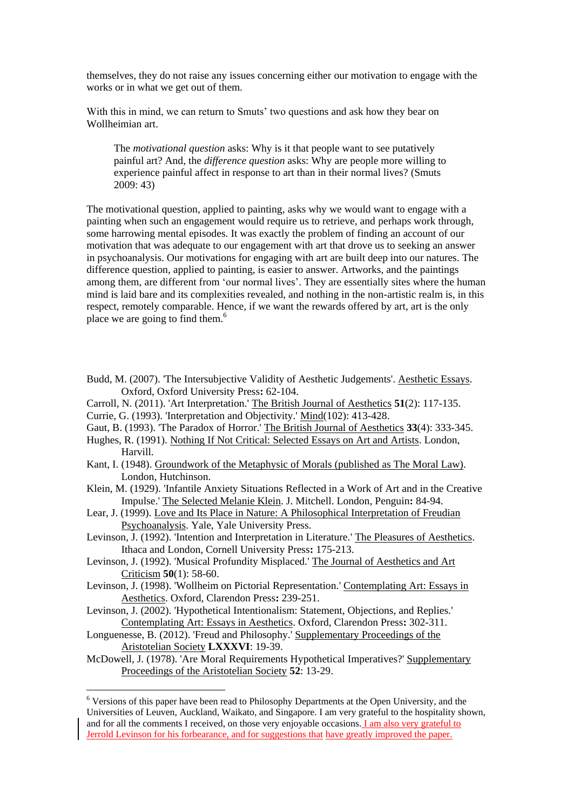themselves, they do not raise any issues concerning either our motivation to engage with the works or in what we get out of them.

With this in mind, we can return to Smuts' two questions and ask how they bear on Wollheimian art.

The *motivational question* asks: Why is it that people want to see putatively painful art? And, the *difference question* asks: Why are people more willing to experience painful affect in response to art than in their normal lives? (Smuts 2009: 43)

The motivational question, applied to painting, asks why we would want to engage with a painting when such an engagement would require us to retrieve, and perhaps work through, some harrowing mental episodes. It was exactly the problem of finding an account of our motivation that was adequate to our engagement with art that drove us to seeking an answer in psychoanalysis. Our motivations for engaging with art are built deep into our natures. The difference question, applied to painting, is easier to answer. Artworks, and the paintings among them, are different from 'our normal lives'. They are essentially sites where the human mind is laid bare and its complexities revealed, and nothing in the non-artistic realm is, in this respect, remotely comparable. Hence, if we want the rewards offered by art, art is the only place we are going to find them.<sup>6</sup>

- Budd, M. (2007). 'The Intersubjective Validity of Aesthetic Judgements'. Aesthetic Essays. Oxford, Oxford University Press**:** 62-104.
- Carroll, N. (2011). 'Art Interpretation.' The British Journal of Aesthetics **51**(2): 117-135. Currie, G. (1993). 'Interpretation and Objectivity.' Mind(102): 413-428.
- 
- Gaut, B. (1993). 'The Paradox of Horror.' The British Journal of Aesthetics **33**(4): 333-345.
- Hughes, R. (1991). Nothing If Not Critical: Selected Essays on Art and Artists. London, Harvill.
- Kant, I. (1948). Groundwork of the Metaphysic of Morals (published as The Moral Law). London, Hutchinson.
- Klein, M. (1929). 'Infantile Anxiety Situations Reflected in a Work of Art and in the Creative Impulse.' The Selected Melanie Klein. J. Mitchell. London, Penguin**:** 84-94.
- Lear, J. (1999). Love and Its Place in Nature: A Philosophical Interpretation of Freudian Psychoanalysis. Yale, Yale University Press.
- Levinson, J. (1992). 'Intention and Interpretation in Literature.' The Pleasures of Aesthetics. Ithaca and London, Cornell University Press**:** 175-213.
- Levinson, J. (1992). 'Musical Profundity Misplaced.' The Journal of Aesthetics and Art Criticism **50**(1): 58-60.
- Levinson, J. (1998). 'Wollheim on Pictorial Representation.' Contemplating Art: Essays in Aesthetics. Oxford, Clarendon Press**:** 239-251.
- Levinson, J. (2002). 'Hypothetical Intentionalism: Statement, Objections, and Replies.' Contemplating Art: Essays in Aesthetics. Oxford, Clarendon Press**:** 302-311.
- Longuenesse, B. (2012). 'Freud and Philosophy.' Supplementary Proceedings of the Aristotelian Society **LXXXVI**: 19-39.

<u>.</u>

McDowell, J. (1978). 'Are Moral Requirements Hypothetical Imperatives?' Supplementary Proceedings of the Aristotelian Society **52**: 13-29.

 $6$  Versions of this paper have been read to Philosophy Departments at the Open University, and the Universities of Leuven, Auckland, Waikato, and Singapore. I am very grateful to the hospitality shown, and for all the comments I received, on those very enjoyable occasions. I am also very grateful to Jerrold Levinson for his forbearance, and for suggestions that have greatly improved the paper.